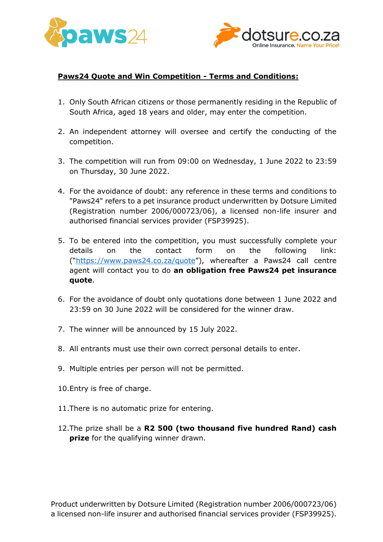



## **Paws24 Quote and Win Competition - Terms and Conditions:**

- 1. Only South African citizens or those permanently residing in the Republic of South Africa, aged 18 years and older, may enter the competition.
- 2. An independent attorney will oversee and certify the conducting of the competition.
- 3. The competition will run from 09:00 on Wednesday, 1 June 2022 to 23:59 on Thursday, 30 June 2022.
- 4. For the avoidance of doubt: any reference in these terms and conditions to "Paws24" refers to a pet insurance product underwritten by Dotsure Limited (Registration number 2006/000723/06), a licensed non-life insurer and authorised financial services provider (FSP39925).
- 5. To be entered into the competition, you must successfully complete your details on the contact form on the following link: ("<https://www.paws24.co.za/quote>"), whereafter a Paws24 call centre agent will contact you to do **an obligation free Paws24 pet insurance quote**.
- 6. For the avoidance of doubt only quotations done between 1 June 2022 and 23:59 on 30 June 2022 will be considered for the winner draw.
- 7. The winner will be announced by 15 July 2022.
- 8. All entrants must use their own correct personal details to enter.
- 9. Multiple entries per person will not be permitted.
- 10.Entry is free of charge.
- 11.There is no automatic prize for entering.
- 12.The prize shall be a **R2 500 (two thousand five hundred Rand) cash prize** for the qualifying winner drawn.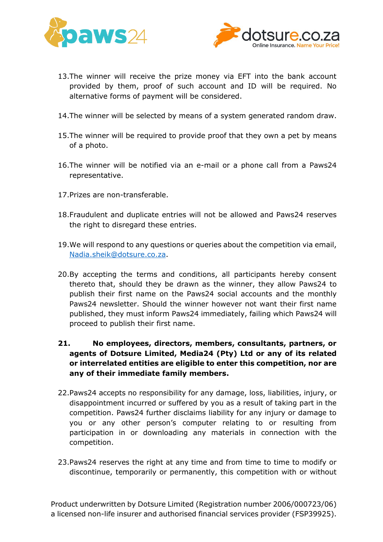



- 13.The winner will receive the prize money via EFT into the bank account provided by them, proof of such account and ID will be required. No alternative forms of payment will be considered.
- 14.The winner will be selected by means of a system generated random draw.
- 15.The winner will be required to provide proof that they own a pet by means of a photo.
- 16.The winner will be notified via an e-mail or a phone call from a Paws24 representative.
- 17.Prizes are non-transferable.
- 18.Fraudulent and duplicate entries will not be allowed and Paws24 reserves the right to disregard these entries.
- 19.We will respond to any questions or queries about the competition via email, [Nadia.sheik@dotsure.co.za.](mailto:Nadia.sheik@dotsure.co.za)
- 20.By accepting the terms and conditions, all participants hereby consent thereto that, should they be drawn as the winner, they allow Paws24 to publish their first name on the Paws24 social accounts and the monthly Paws24 newsletter. Should the winner however not want their first name published, they must inform Paws24 immediately, failing which Paws24 will proceed to publish their first name.
- **21. No employees, directors, members, consultants, partners, or agents of Dotsure Limited, Media24 (Pty) Ltd or any of its related or interrelated entities are eligible to enter this competition, nor are any of their immediate family members.**
- 22.Paws24 accepts no responsibility for any damage, loss, liabilities, injury, or disappointment incurred or suffered by you as a result of taking part in the competition. Paws24 further disclaims liability for any injury or damage to you or any other person's computer relating to or resulting from participation in or downloading any materials in connection with the competition.
- 23.Paws24 reserves the right at any time and from time to time to modify or discontinue, temporarily or permanently, this competition with or without